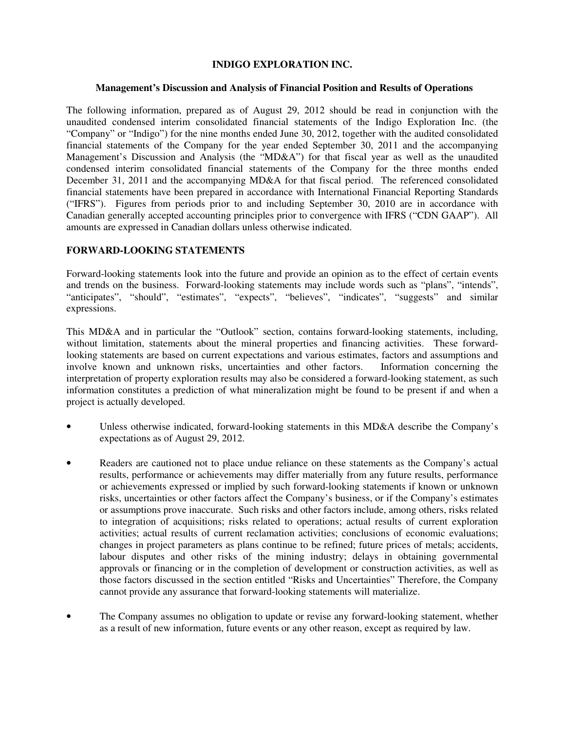## **INDIGO EXPLORATION INC.**

### **Management's Discussion and Analysis of Financial Position and Results of Operations**

The following information, prepared as of August 29, 2012 should be read in conjunction with the unaudited condensed interim consolidated financial statements of the Indigo Exploration Inc. (the "Company" or "Indigo") for the nine months ended June 30, 2012, together with the audited consolidated financial statements of the Company for the year ended September 30, 2011 and the accompanying Management's Discussion and Analysis (the "MD&A") for that fiscal year as well as the unaudited condensed interim consolidated financial statements of the Company for the three months ended December 31, 2011 and the accompanying MD&A for that fiscal period. The referenced consolidated financial statements have been prepared in accordance with International Financial Reporting Standards ("IFRS"). Figures from periods prior to and including September 30, 2010 are in accordance with Canadian generally accepted accounting principles prior to convergence with IFRS ("CDN GAAP"). All amounts are expressed in Canadian dollars unless otherwise indicated.

## **FORWARD-LOOKING STATEMENTS**

Forward-looking statements look into the future and provide an opinion as to the effect of certain events and trends on the business. Forward-looking statements may include words such as "plans", "intends", "anticipates", "should", "estimates", "expects", "believes", "indicates", "suggests" and similar expressions.

This MD&A and in particular the "Outlook" section, contains forward-looking statements, including, without limitation, statements about the mineral properties and financing activities. These forwardlooking statements are based on current expectations and various estimates, factors and assumptions and involve known and unknown risks, uncertainties and other factors. Information concerning the interpretation of property exploration results may also be considered a forward-looking statement, as such information constitutes a prediction of what mineralization might be found to be present if and when a project is actually developed.

- Unless otherwise indicated, forward-looking statements in this MD&A describe the Company's expectations as of August 29, 2012.
- Readers are cautioned not to place undue reliance on these statements as the Company's actual results, performance or achievements may differ materially from any future results, performance or achievements expressed or implied by such forward-looking statements if known or unknown risks, uncertainties or other factors affect the Company's business, or if the Company's estimates or assumptions prove inaccurate. Such risks and other factors include, among others, risks related to integration of acquisitions; risks related to operations; actual results of current exploration activities; actual results of current reclamation activities; conclusions of economic evaluations; changes in project parameters as plans continue to be refined; future prices of metals; accidents, labour disputes and other risks of the mining industry; delays in obtaining governmental approvals or financing or in the completion of development or construction activities, as well as those factors discussed in the section entitled "Risks and Uncertainties" Therefore, the Company cannot provide any assurance that forward-looking statements will materialize.
- The Company assumes no obligation to update or revise any forward-looking statement, whether as a result of new information, future events or any other reason, except as required by law.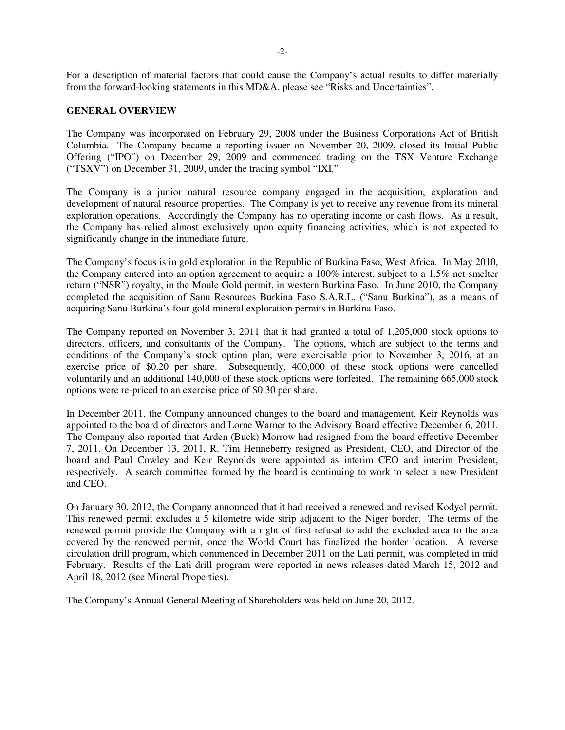For a description of material factors that could cause the Company's actual results to differ materially from the forward-looking statements in this MD&A, please see "Risks and Uncertainties".

### **GENERAL OVERVIEW**

The Company was incorporated on February 29, 2008 under the Business Corporations Act of British Columbia. The Company became a reporting issuer on November 20, 2009, closed its Initial Public Offering ("IPO") on December 29, 2009 and commenced trading on the TSX Venture Exchange ("TSXV") on December 31, 2009, under the trading symbol "IXI."

The Company is a junior natural resource company engaged in the acquisition, exploration and development of natural resource properties. The Company is yet to receive any revenue from its mineral exploration operations. Accordingly the Company has no operating income or cash flows. As a result, the Company has relied almost exclusively upon equity financing activities, which is not expected to significantly change in the immediate future.

The Company's focus is in gold exploration in the Republic of Burkina Faso, West Africa. In May 2010, the Company entered into an option agreement to acquire a 100% interest, subject to a 1.5% net smelter return ("NSR") royalty, in the Moule Gold permit, in western Burkina Faso. In June 2010, the Company completed the acquisition of Sanu Resources Burkina Faso S.A.R.L. ("Sanu Burkina"), as a means of acquiring Sanu Burkina's four gold mineral exploration permits in Burkina Faso.

The Company reported on November 3, 2011 that it had granted a total of 1,205,000 stock options to directors, officers, and consultants of the Company. The options, which are subject to the terms and conditions of the Company's stock option plan, were exercisable prior to November 3, 2016, at an exercise price of \$0.20 per share. Subsequently, 400,000 of these stock options were cancelled voluntarily and an additional 140,000 of these stock options were forfeited. The remaining 665,000 stock options were re-priced to an exercise price of \$0.30 per share.

In December 2011, the Company announced changes to the board and management. Keir Reynolds was appointed to the board of directors and Lorne Warner to the Advisory Board effective December 6, 2011. The Company also reported that Arden (Buck) Morrow had resigned from the board effective December 7, 2011. On December 13, 2011, R. Tim Henneberry resigned as President, CEO, and Director of the board and Paul Cowley and Keir Reynolds were appointed as interim CEO and interim President, respectively. A search committee formed by the board is continuing to work to select a new President and CEO.

On January 30, 2012, the Company announced that it had received a renewed and revised Kodyel permit. This renewed permit excludes a 5 kilometre wide strip adjacent to the Niger border. The terms of the renewed permit provide the Company with a right of first refusal to add the excluded area to the area covered by the renewed permit, once the World Court has finalized the border location. A reverse circulation drill program, which commenced in December 2011 on the Lati permit, was completed in mid February. Results of the Lati drill program were reported in news releases dated March 15, 2012 and April 18, 2012 (see Mineral Properties).

The Company's Annual General Meeting of Shareholders was held on June 20, 2012.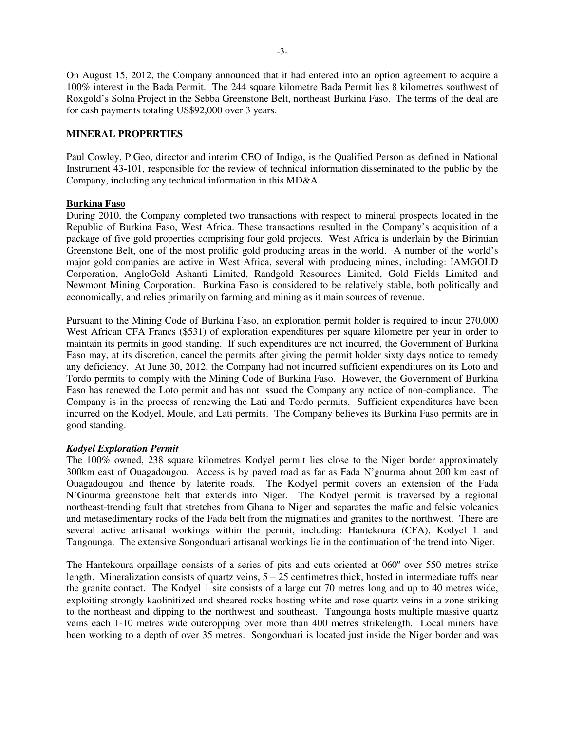On August 15, 2012, the Company announced that it had entered into an option agreement to acquire a 100% interest in the Bada Permit. The 244 square kilometre Bada Permit lies 8 kilometres southwest of Roxgold's Solna Project in the Sebba Greenstone Belt, northeast Burkina Faso. The terms of the deal are for cash payments totaling US\$92,000 over 3 years.

## **MINERAL PROPERTIES**

Paul Cowley, P.Geo, director and interim CEO of Indigo, is the Qualified Person as defined in National Instrument 43-101, responsible for the review of technical information disseminated to the public by the Company, including any technical information in this MD&A.

### **Burkina Faso**

During 2010, the Company completed two transactions with respect to mineral prospects located in the Republic of Burkina Faso, West Africa. These transactions resulted in the Company's acquisition of a package of five gold properties comprising four gold projects. West Africa is underlain by the Birimian Greenstone Belt, one of the most prolific gold producing areas in the world. A number of the world's major gold companies are active in West Africa, several with producing mines, including: IAMGOLD Corporation, AngloGold Ashanti Limited, Randgold Resources Limited, Gold Fields Limited and Newmont Mining Corporation. Burkina Faso is considered to be relatively stable, both politically and economically, and relies primarily on farming and mining as it main sources of revenue.

Pursuant to the Mining Code of Burkina Faso, an exploration permit holder is required to incur 270,000 West African CFA Francs (\$531) of exploration expenditures per square kilometre per year in order to maintain its permits in good standing. If such expenditures are not incurred, the Government of Burkina Faso may, at its discretion, cancel the permits after giving the permit holder sixty days notice to remedy any deficiency. At June 30, 2012, the Company had not incurred sufficient expenditures on its Loto and Tordo permits to comply with the Mining Code of Burkina Faso. However, the Government of Burkina Faso has renewed the Loto permit and has not issued the Company any notice of non-compliance. The Company is in the process of renewing the Lati and Tordo permits. Sufficient expenditures have been incurred on the Kodyel, Moule, and Lati permits. The Company believes its Burkina Faso permits are in good standing.

### *Kodyel Exploration Permit*

The 100% owned, 238 square kilometres Kodyel permit lies close to the Niger border approximately 300km east of Ouagadougou. Access is by paved road as far as Fada N'gourma about 200 km east of Ouagadougou and thence by laterite roads. The Kodyel permit covers an extension of the Fada N'Gourma greenstone belt that extends into Niger. The Kodyel permit is traversed by a regional northeast-trending fault that stretches from Ghana to Niger and separates the mafic and felsic volcanics and metasedimentary rocks of the Fada belt from the migmatites and granites to the northwest. There are several active artisanal workings within the permit, including: Hantekoura (CFA), Kodyel 1 and Tangounga. The extensive Songonduari artisanal workings lie in the continuation of the trend into Niger.

The Hantekoura orpaillage consists of a series of pits and cuts oriented at 060° over 550 metres strike length. Mineralization consists of quartz veins,  $5 - 25$  centimetres thick, hosted in intermediate tuffs near the granite contact. The Kodyel 1 site consists of a large cut 70 metres long and up to 40 metres wide, exploiting strongly kaolinitized and sheared rocks hosting white and rose quartz veins in a zone striking to the northeast and dipping to the northwest and southeast. Tangounga hosts multiple massive quartz veins each 1-10 metres wide outcropping over more than 400 metres strikelength. Local miners have been working to a depth of over 35 metres. Songonduari is located just inside the Niger border and was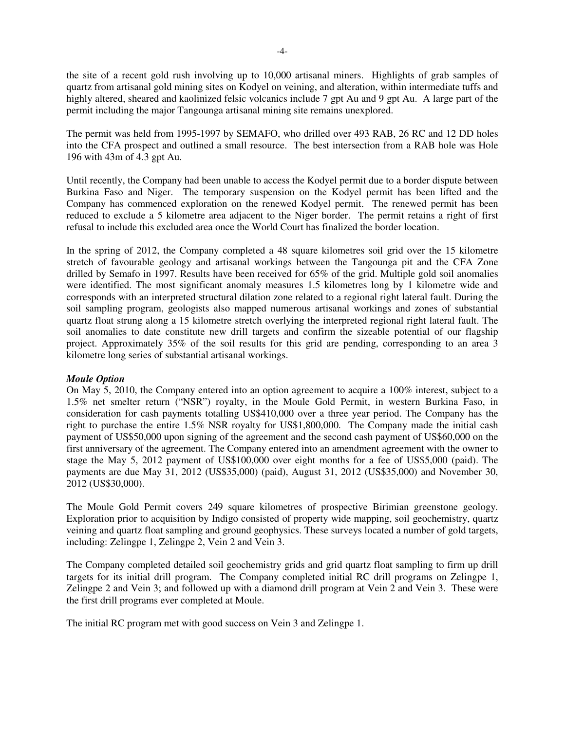the site of a recent gold rush involving up to 10,000 artisanal miners. Highlights of grab samples of quartz from artisanal gold mining sites on Kodyel on veining, and alteration, within intermediate tuffs and highly altered, sheared and kaolinized felsic volcanics include 7 gpt Au and 9 gpt Au. A large part of the permit including the major Tangounga artisanal mining site remains unexplored.

The permit was held from 1995-1997 by SEMAFO, who drilled over 493 RAB, 26 RC and 12 DD holes into the CFA prospect and outlined a small resource. The best intersection from a RAB hole was Hole 196 with 43m of 4.3 gpt Au.

Until recently, the Company had been unable to access the Kodyel permit due to a border dispute between Burkina Faso and Niger. The temporary suspension on the Kodyel permit has been lifted and the Company has commenced exploration on the renewed Kodyel permit. The renewed permit has been reduced to exclude a 5 kilometre area adjacent to the Niger border. The permit retains a right of first refusal to include this excluded area once the World Court has finalized the border location.

In the spring of 2012, the Company completed a 48 square kilometres soil grid over the 15 kilometre stretch of favourable geology and artisanal workings between the Tangounga pit and the CFA Zone drilled by Semafo in 1997. Results have been received for 65% of the grid. Multiple gold soil anomalies were identified. The most significant anomaly measures 1.5 kilometres long by 1 kilometre wide and corresponds with an interpreted structural dilation zone related to a regional right lateral fault. During the soil sampling program, geologists also mapped numerous artisanal workings and zones of substantial quartz float strung along a 15 kilometre stretch overlying the interpreted regional right lateral fault. The soil anomalies to date constitute new drill targets and confirm the sizeable potential of our flagship project. Approximately 35% of the soil results for this grid are pending, corresponding to an area 3 kilometre long series of substantial artisanal workings.

### *Moule Option*

On May 5, 2010, the Company entered into an option agreement to acquire a 100% interest, subject to a 1.5% net smelter return ("NSR") royalty, in the Moule Gold Permit, in western Burkina Faso, in consideration for cash payments totalling US\$410,000 over a three year period. The Company has the right to purchase the entire 1.5% NSR royalty for US\$1,800,000. The Company made the initial cash payment of US\$50,000 upon signing of the agreement and the second cash payment of US\$60,000 on the first anniversary of the agreement. The Company entered into an amendment agreement with the owner to stage the May 5, 2012 payment of US\$100,000 over eight months for a fee of US\$5,000 (paid). The payments are due May 31, 2012 (US\$35,000) (paid), August 31, 2012 (US\$35,000) and November 30, 2012 (US\$30,000).

The Moule Gold Permit covers 249 square kilometres of prospective Birimian greenstone geology. Exploration prior to acquisition by Indigo consisted of property wide mapping, soil geochemistry, quartz veining and quartz float sampling and ground geophysics. These surveys located a number of gold targets, including: Zelingpe 1, Zelingpe 2, Vein 2 and Vein 3.

The Company completed detailed soil geochemistry grids and grid quartz float sampling to firm up drill targets for its initial drill program. The Company completed initial RC drill programs on Zelingpe 1, Zelingpe 2 and Vein 3; and followed up with a diamond drill program at Vein 2 and Vein 3. These were the first drill programs ever completed at Moule.

The initial RC program met with good success on Vein 3 and Zelingpe 1.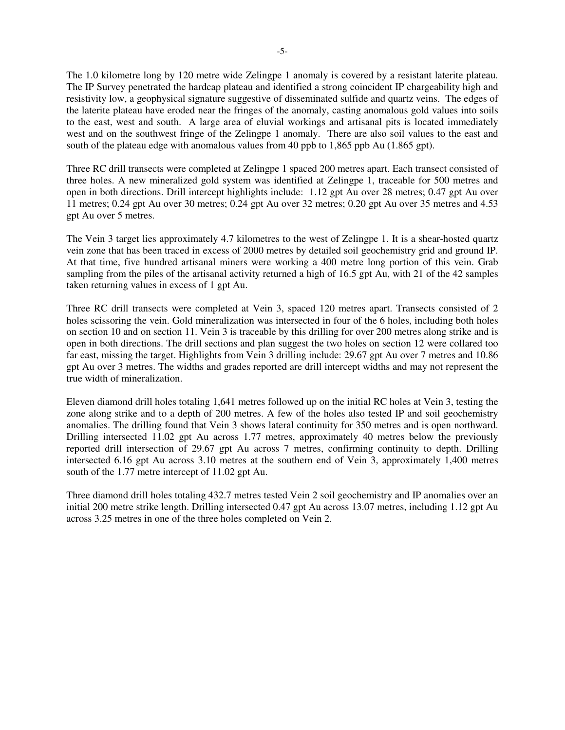The 1.0 kilometre long by 120 metre wide Zelingpe 1 anomaly is covered by a resistant laterite plateau. The IP Survey penetrated the hardcap plateau and identified a strong coincident IP chargeability high and resistivity low, a geophysical signature suggestive of disseminated sulfide and quartz veins. The edges of the laterite plateau have eroded near the fringes of the anomaly, casting anomalous gold values into soils to the east, west and south. A large area of eluvial workings and artisanal pits is located immediately west and on the southwest fringe of the Zelingpe 1 anomaly. There are also soil values to the east and south of the plateau edge with anomalous values from 40 ppb to 1,865 ppb Au (1.865 gpt).

Three RC drill transects were completed at Zelingpe 1 spaced 200 metres apart. Each transect consisted of three holes. A new mineralized gold system was identified at Zelingpe 1, traceable for 500 metres and open in both directions. Drill intercept highlights include: 1.12 gpt Au over 28 metres; 0.47 gpt Au over 11 metres; 0.24 gpt Au over 30 metres; 0.24 gpt Au over 32 metres; 0.20 gpt Au over 35 metres and 4.53 gpt Au over 5 metres.

The Vein 3 target lies approximately 4.7 kilometres to the west of Zelingpe 1. It is a shear-hosted quartz vein zone that has been traced in excess of 2000 metres by detailed soil geochemistry grid and ground IP. At that time, five hundred artisanal miners were working a 400 metre long portion of this vein. Grab sampling from the piles of the artisanal activity returned a high of 16.5 gpt Au, with 21 of the 42 samples taken returning values in excess of 1 gpt Au.

Three RC drill transects were completed at Vein 3, spaced 120 metres apart. Transects consisted of 2 holes scissoring the vein. Gold mineralization was intersected in four of the 6 holes, including both holes on section 10 and on section 11. Vein 3 is traceable by this drilling for over 200 metres along strike and is open in both directions. The drill sections and plan suggest the two holes on section 12 were collared too far east, missing the target. Highlights from Vein 3 drilling include: 29.67 gpt Au over 7 metres and 10.86 gpt Au over 3 metres. The widths and grades reported are drill intercept widths and may not represent the true width of mineralization.

Eleven diamond drill holes totaling 1,641 metres followed up on the initial RC holes at Vein 3, testing the zone along strike and to a depth of 200 metres. A few of the holes also tested IP and soil geochemistry anomalies. The drilling found that Vein 3 shows lateral continuity for 350 metres and is open northward. Drilling intersected 11.02 gpt Au across 1.77 metres, approximately 40 metres below the previously reported drill intersection of 29.67 gpt Au across 7 metres, confirming continuity to depth. Drilling intersected 6.16 gpt Au across 3.10 metres at the southern end of Vein 3, approximately 1,400 metres south of the 1.77 metre intercept of 11.02 gpt Au.

Three diamond drill holes totaling 432.7 metres tested Vein 2 soil geochemistry and IP anomalies over an initial 200 metre strike length. Drilling intersected 0.47 gpt Au across 13.07 metres, including 1.12 gpt Au across 3.25 metres in one of the three holes completed on Vein 2.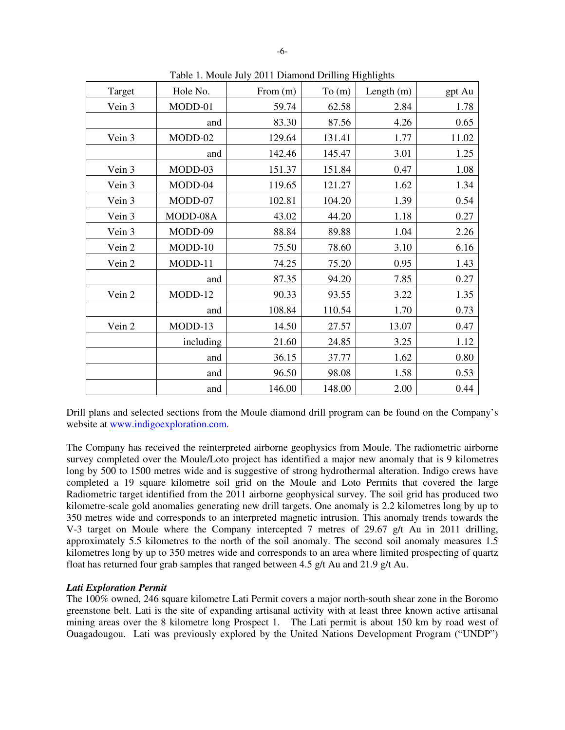| Target | Hole No.  | From (m) | To(m)  | Length (m) | gpt Au |
|--------|-----------|----------|--------|------------|--------|
| Vein 3 | MODD-01   | 59.74    | 62.58  | 2.84       | 1.78   |
|        | and       | 83.30    | 87.56  | 4.26       | 0.65   |
| Vein 3 | MODD-02   | 129.64   | 131.41 | 1.77       | 11.02  |
|        | and       | 142.46   | 145.47 | 3.01       | 1.25   |
| Vein 3 | MODD-03   | 151.37   | 151.84 | 0.47       | 1.08   |
| Vein 3 | MODD-04   | 119.65   | 121.27 | 1.62       | 1.34   |
| Vein 3 | MODD-07   | 102.81   | 104.20 | 1.39       | 0.54   |
| Vein 3 | MODD-08A  | 43.02    | 44.20  | 1.18       | 0.27   |
| Vein 3 | MODD-09   | 88.84    | 89.88  | 1.04       | 2.26   |
| Vein 2 | $MODD-10$ | 75.50    | 78.60  | 3.10       | 6.16   |
| Vein 2 | MODD-11   | 74.25    | 75.20  | 0.95       | 1.43   |
|        | and       | 87.35    | 94.20  | 7.85       | 0.27   |
| Vein 2 | MODD-12   | 90.33    | 93.55  | 3.22       | 1.35   |
|        | and       | 108.84   | 110.54 | 1.70       | 0.73   |
| Vein 2 | MODD-13   | 14.50    | 27.57  | 13.07      | 0.47   |
|        | including | 21.60    | 24.85  | 3.25       | 1.12   |
|        | and       | 36.15    | 37.77  | 1.62       | 0.80   |
|        | and       | 96.50    | 98.08  | 1.58       | 0.53   |
|        | and       | 146.00   | 148.00 | 2.00       | 0.44   |

Table 1. Moule July 2011 Diamond Drilling Highlights

Drill plans and selected sections from the Moule diamond drill program can be found on the Company's website at www.indigoexploration.com.

The Company has received the reinterpreted airborne geophysics from Moule. The radiometric airborne survey completed over the Moule/Loto project has identified a major new anomaly that is 9 kilometres long by 500 to 1500 metres wide and is suggestive of strong hydrothermal alteration. Indigo crews have completed a 19 square kilometre soil grid on the Moule and Loto Permits that covered the large Radiometric target identified from the 2011 airborne geophysical survey. The soil grid has produced two kilometre-scale gold anomalies generating new drill targets. One anomaly is 2.2 kilometres long by up to 350 metres wide and corresponds to an interpreted magnetic intrusion. This anomaly trends towards the V-3 target on Moule where the Company intercepted 7 metres of 29.67 g/t Au in 2011 drilling, approximately 5.5 kilometres to the north of the soil anomaly. The second soil anomaly measures 1.5 kilometres long by up to 350 metres wide and corresponds to an area where limited prospecting of quartz float has returned four grab samples that ranged between 4.5 g/t Au and 21.9 g/t Au.

# *Lati Exploration Permit*

The 100% owned, 246 square kilometre Lati Permit covers a major north-south shear zone in the Boromo greenstone belt. Lati is the site of expanding artisanal activity with at least three known active artisanal mining areas over the 8 kilometre long Prospect 1. The Lati permit is about 150 km by road west of Ouagadougou. Lati was previously explored by the United Nations Development Program ("UNDP")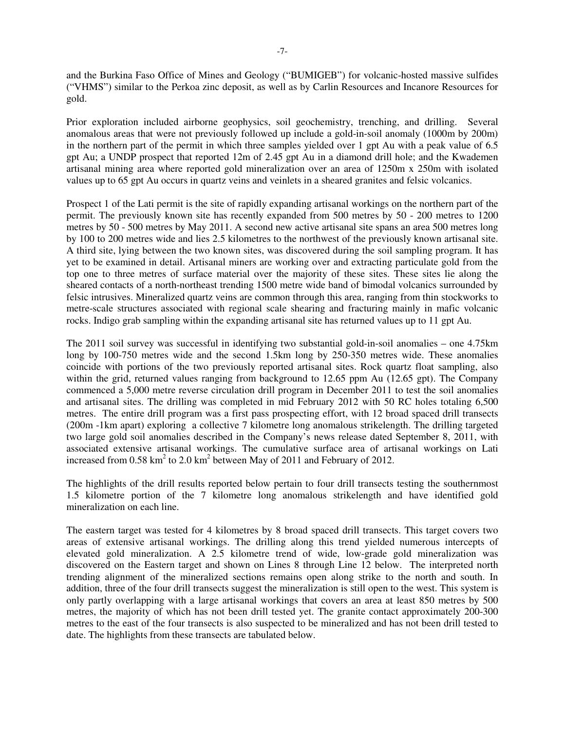and the Burkina Faso Office of Mines and Geology ("BUMIGEB") for volcanic-hosted massive sulfides ("VHMS") similar to the Perkoa zinc deposit, as well as by Carlin Resources and Incanore Resources for gold.

Prior exploration included airborne geophysics, soil geochemistry, trenching, and drilling. Several anomalous areas that were not previously followed up include a gold-in-soil anomaly (1000m by 200m) in the northern part of the permit in which three samples yielded over 1 gpt Au with a peak value of 6.5 gpt Au; a UNDP prospect that reported 12m of 2.45 gpt Au in a diamond drill hole; and the Kwademen artisanal mining area where reported gold mineralization over an area of 1250m x 250m with isolated values up to 65 gpt Au occurs in quartz veins and veinlets in a sheared granites and felsic volcanics.

Prospect 1 of the Lati permit is the site of rapidly expanding artisanal workings on the northern part of the permit. The previously known site has recently expanded from 500 metres by 50 - 200 metres to 1200 metres by 50 - 500 metres by May 2011. A second new active artisanal site spans an area 500 metres long by 100 to 200 metres wide and lies 2.5 kilometres to the northwest of the previously known artisanal site. A third site, lying between the two known sites, was discovered during the soil sampling program. It has yet to be examined in detail. Artisanal miners are working over and extracting particulate gold from the top one to three metres of surface material over the majority of these sites. These sites lie along the sheared contacts of a north-northeast trending 1500 metre wide band of bimodal volcanics surrounded by felsic intrusives. Mineralized quartz veins are common through this area, ranging from thin stockworks to metre-scale structures associated with regional scale shearing and fracturing mainly in mafic volcanic rocks. Indigo grab sampling within the expanding artisanal site has returned values up to 11 gpt Au.

The 2011 soil survey was successful in identifying two substantial gold-in-soil anomalies – one 4.75km long by 100-750 metres wide and the second 1.5km long by 250-350 metres wide. These anomalies coincide with portions of the two previously reported artisanal sites. Rock quartz float sampling, also within the grid, returned values ranging from background to 12.65 ppm Au (12.65 gpt). The Company commenced a 5,000 metre reverse circulation drill program in December 2011 to test the soil anomalies and artisanal sites. The drilling was completed in mid February 2012 with 50 RC holes totaling 6,500 metres. The entire drill program was a first pass prospecting effort, with 12 broad spaced drill transects (200m -1km apart) exploring a collective 7 kilometre long anomalous strikelength. The drilling targeted two large gold soil anomalies described in the Company's news release dated September 8, 2011, with associated extensive artisanal workings. The cumulative surface area of artisanal workings on Lati increased from  $0.58 \text{ km}^2$  to  $2.0 \text{ km}^2$  between May of  $2011$  and February of  $2012$ .

The highlights of the drill results reported below pertain to four drill transects testing the southernmost 1.5 kilometre portion of the 7 kilometre long anomalous strikelength and have identified gold mineralization on each line.

The eastern target was tested for 4 kilometres by 8 broad spaced drill transects. This target covers two areas of extensive artisanal workings. The drilling along this trend yielded numerous intercepts of elevated gold mineralization. A 2.5 kilometre trend of wide, low-grade gold mineralization was discovered on the Eastern target and shown on Lines 8 through Line 12 below. The interpreted north trending alignment of the mineralized sections remains open along strike to the north and south. In addition, three of the four drill transects suggest the mineralization is still open to the west. This system is only partly overlapping with a large artisanal workings that covers an area at least 850 metres by 500 metres, the majority of which has not been drill tested yet. The granite contact approximately 200-300 metres to the east of the four transects is also suspected to be mineralized and has not been drill tested to date. The highlights from these transects are tabulated below.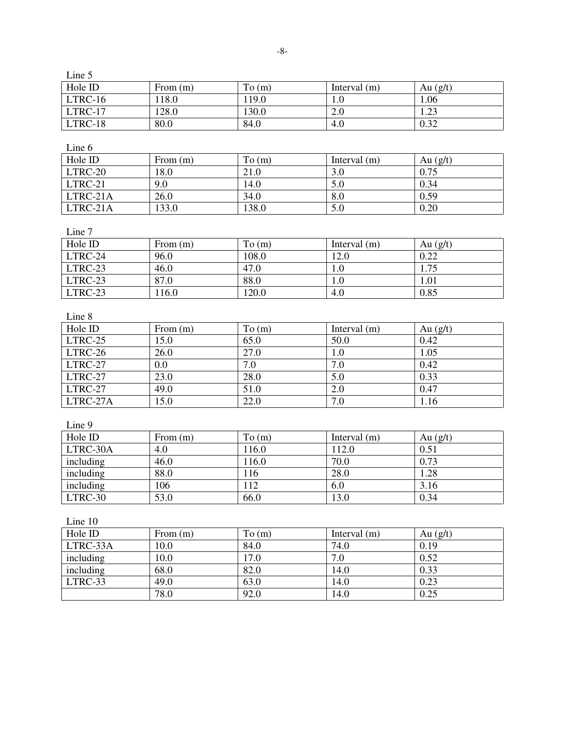| $L$ ine $\mathcal{F}$ |            |        |                |            |
|-----------------------|------------|--------|----------------|------------|
| Hole ID               | From $(m)$ | To (m) | Interval $(m)$ | Au $(g/t)$ |
| LTRC-16               | 118.0      | 119.0  | 1.0            | 1.06       |
| LTRC-17               | 128.0      | 130.0  | 2.0            | 1.23       |
| LTRC-18               | 80.0       | 84.0   | 4.0            | 0.32       |
| Line 6                |            |        |                |            |
| Hole ID               | From $(m)$ | To (m) | Interval $(m)$ | Au $(g/t)$ |
| LTRC-20               | 18.0       | 21.0   | 3.0            | 0.75       |
| LTRC-21               | 9.0        | 14.0   | 5.0            | 0.34       |
| LTRC-21A              | 26.0       | 34.0   | 8.0            | 0.59       |
| LTRC-21A              | 133.0      | 138.0  | 5.0            | 0.20       |
|                       |            |        |                |            |
| Line 7                |            |        |                |            |
| Hole ID               | From $(m)$ | To (m) | Interval (m)   | Au $(g/t)$ |
| LTRC-24               | 96.0       | 108.0  | 12.0           | 0.22       |
| LTRC-23               | 46.0       | 47.0   | 1.0            | 1.75       |
| LTRC-23               | 87.0       | 88.0   | 1.0            | 1.01       |
| LTRC-23               | 116.0      | 120.0  | 4.0            | 0.85       |
| Line 8                |            |        |                |            |
| Hole ID               | From $(m)$ | To (m) | Interval $(m)$ | Au $(g/t)$ |
| LTRC-25               | 15.0       | 65.0   | 50.0           | 0.42       |
| LTRC-26               | 26.0       | 27.0   | 1.0            | 1.05       |
| LTRC-27               | $0.0\,$    | 7.0    | 7.0            | 0.42       |
| LTRC-27               | 23.0       | 28.0   | 5.0            | 0.33       |
| LTRC-27               | 49.0       | 51.0   | $2.0\,$        | 0.47       |
| LTRC-27A              | 15.0       | 22.0   | 7.0            | 1.16       |
| Line 9                |            |        |                |            |
| Hole ID               | From $(m)$ | To (m) | Interval $(m)$ | Au $(g/t)$ |
| LTRC-30A              | 4.0        | 116.0  | 112.0          | 0.51       |
| including             | 46.0       | 116.0  | 70.0           | 0.73       |
| including             | 88.0       | 116    | 28.0           | 1.28       |
| including             | 106        | 112    | 6.0            | 3.16       |
| LTRC-30               | 53.0       | 66.0   | 13.0           | 0.34       |
| Line 10               |            |        |                |            |
| Hole ID               | From $(m)$ | To (m) | Interval $(m)$ | Au $(g/t)$ |
| LTRC-33A              | 10.0       | 84.0   | 74.0           | 0.19       |
| including             | 10.0       | 17.0   | 7.0            | 0.52       |
| including             | 68.0       | 82.0   | 14.0           | 0.33       |
| LTRC-33               | 49.0       | 63.0   | 14.0           | 0.23       |
|                       | 78.0       | 92.0   | 14.0           | 0.25       |
|                       |            |        |                |            |

 $L_{\text{max}}$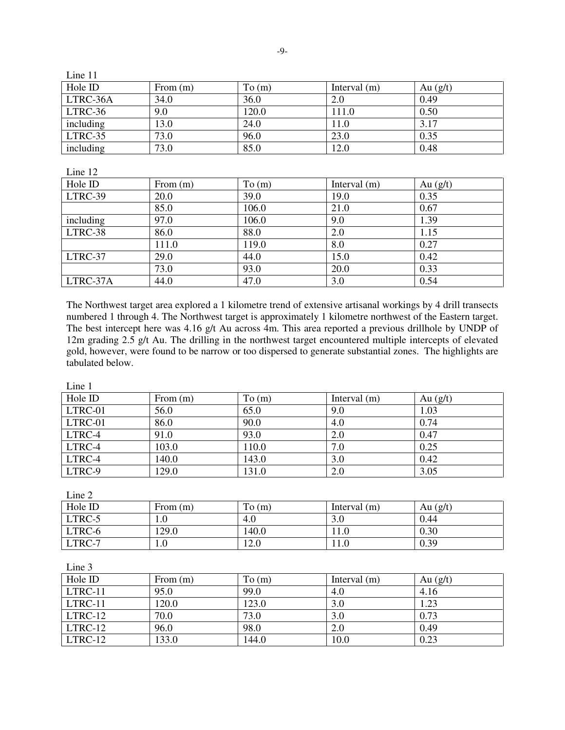| Line 11   |            |       |                |            |
|-----------|------------|-------|----------------|------------|
| Hole ID   | From $(m)$ | To(m) | Interval $(m)$ | Au $(g/t)$ |
| LTRC-36A  | 34.0       | 36.0  | 2.0            | 0.49       |
| LTRC-36   | 9.0        | 120.0 | 111.0          | 0.50       |
| including | 13.0       | 24.0  | 11.0           | 3.17       |
| LTRC-35   | 73.0       | 96.0  | 23.0           | 0.35       |
| including | 73.0       | 85.0  | 12.0           | 0.48       |

Line 12

| Hole ID   | From $(m)$ | To (m) | Interval $(m)$ | Au $(g/t)$ |
|-----------|------------|--------|----------------|------------|
| LTRC-39   | 20.0       | 39.0   | 19.0           | 0.35       |
|           | 85.0       | 106.0  | 21.0           | 0.67       |
| including | 97.0       | 106.0  | 9.0            | 1.39       |
| LTRC-38   | 86.0       | 88.0   | 2.0            | 1.15       |
|           | 111.0      | 119.0  | 8.0            | 0.27       |
| LTRC-37   | 29.0       | 44.0   | 15.0           | 0.42       |
|           | 73.0       | 93.0   | 20.0           | 0.33       |
| LTRC-37A  | 44.0       | 47.0   | 3.0            | 0.54       |

The Northwest target area explored a 1 kilometre trend of extensive artisanal workings by 4 drill transects numbered 1 through 4. The Northwest target is approximately 1 kilometre northwest of the Eastern target. The best intercept here was 4.16 g/t Au across 4m. This area reported a previous drillhole by UNDP of 12m grading 2.5 g/t Au. The drilling in the northwest target encountered multiple intercepts of elevated gold, however, were found to be narrow or too dispersed to generate substantial zones. The highlights are tabulated below.

| Line 1  |            |        |                |            |
|---------|------------|--------|----------------|------------|
| Hole ID | From $(m)$ | To (m) | Interval $(m)$ | Au $(g/t)$ |
| LTRC-01 | 56.0       | 65.0   | 9.0            | 1.03       |
| LTRC-01 | 86.0       | 90.0   | 4.0            | 0.74       |
| LTRC-4  | 91.0       | 93.0   | 2.0            | 0.47       |
| LTRC-4  | 103.0      | 110.0  | 7.0            | 0.25       |
| LTRC-4  | 140.0      | 143.0  | 3.0            | 0.42       |
| LTRC-9  | 129.0      | 131.0  | 2.0            | 3.05       |

| Line 2  |            |        |                |            |
|---------|------------|--------|----------------|------------|
| Hole ID | From $(m)$ | To (m) | Interval $(m)$ | Au $(g/t)$ |
| LTRC-5  | 1.0        | 4.0    | 3.0            | 0.44       |
| LTRC-6  | 129.0      | 140.0  | 11.0           | 0.30       |
| LTRC-7  | 1.0        | 12.0   | 11.0           | 0.39       |

Line 3<br>Hole ID From (m) To (m) Interval (m) Au (g/t)<br>95.0 99.0 4.0 4.16 LTRC-11 95.0 99.0 LTRC-11 120.0 123.0 3.0 1.23 LTRC-12 | 70.0 | 73.0 | 3.0 | 0.73 17RC-12 96.0 98.0 2.0 0.49<br>
LTRC-12 133.0 144.0 10.0 0.23 LTRC-12 | 133.0 | 144.0 | 10.0 | 0.23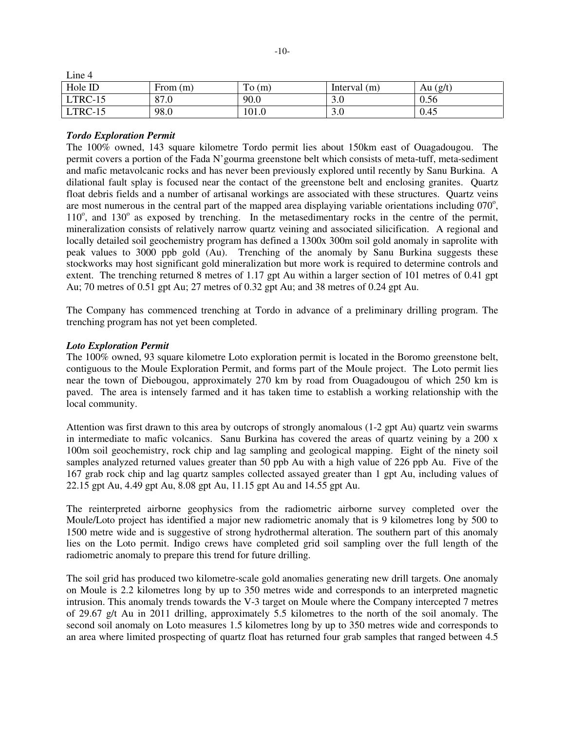| Line 4  |            |       |                |          |
|---------|------------|-------|----------------|----------|
| Hole ID | From $(m)$ | To(m) | Interval $(m)$ | Au (g/t) |
| LTRC-15 | 87.0       | 90.0  | 3.0            | 0.56     |
| LTRC-15 | 98.0       | 101.0 | 3.0            | 0.45     |

## *Tordo Exploration Permit*

The 100% owned, 143 square kilometre Tordo permit lies about 150km east of Ouagadougou. The permit covers a portion of the Fada N'gourma greenstone belt which consists of meta-tuff, meta-sediment and mafic metavolcanic rocks and has never been previously explored until recently by Sanu Burkina. A dilational fault splay is focused near the contact of the greenstone belt and enclosing granites. Quartz float debris fields and a number of artisanal workings are associated with these structures. Quartz veins are most numerous in the central part of the mapped area displaying variable orientations including 070°, 110°, and 130° as exposed by trenching. In the metasedimentary rocks in the centre of the permit, mineralization consists of relatively narrow quartz veining and associated silicification. A regional and locally detailed soil geochemistry program has defined a 1300x 300m soil gold anomaly in saprolite with peak values to 3000 ppb gold (Au). Trenching of the anomaly by Sanu Burkina suggests these stockworks may host significant gold mineralization but more work is required to determine controls and extent. The trenching returned 8 metres of 1.17 gpt Au within a larger section of 101 metres of 0.41 gpt Au; 70 metres of 0.51 gpt Au; 27 metres of 0.32 gpt Au; and 38 metres of 0.24 gpt Au.

The Company has commenced trenching at Tordo in advance of a preliminary drilling program. The trenching program has not yet been completed.

#### *Loto Exploration Permit*

The 100% owned, 93 square kilometre Loto exploration permit is located in the Boromo greenstone belt, contiguous to the Moule Exploration Permit, and forms part of the Moule project. The Loto permit lies near the town of Diebougou, approximately 270 km by road from Ouagadougou of which 250 km is paved. The area is intensely farmed and it has taken time to establish a working relationship with the local community.

Attention was first drawn to this area by outcrops of strongly anomalous (1-2 gpt Au) quartz vein swarms in intermediate to mafic volcanics. Sanu Burkina has covered the areas of quartz veining by a 200 x 100m soil geochemistry, rock chip and lag sampling and geological mapping. Eight of the ninety soil samples analyzed returned values greater than 50 ppb Au with a high value of 226 ppb Au. Five of the 167 grab rock chip and lag quartz samples collected assayed greater than 1 gpt Au, including values of 22.15 gpt Au, 4.49 gpt Au, 8.08 gpt Au, 11.15 gpt Au and 14.55 gpt Au.

The reinterpreted airborne geophysics from the radiometric airborne survey completed over the Moule/Loto project has identified a major new radiometric anomaly that is 9 kilometres long by 500 to 1500 metre wide and is suggestive of strong hydrothermal alteration. The southern part of this anomaly lies on the Loto permit. Indigo crews have completed grid soil sampling over the full length of the radiometric anomaly to prepare this trend for future drilling.

The soil grid has produced two kilometre-scale gold anomalies generating new drill targets. One anomaly on Moule is 2.2 kilometres long by up to 350 metres wide and corresponds to an interpreted magnetic intrusion. This anomaly trends towards the V-3 target on Moule where the Company intercepted 7 metres of 29.67 g/t Au in 2011 drilling, approximately 5.5 kilometres to the north of the soil anomaly. The second soil anomaly on Loto measures 1.5 kilometres long by up to 350 metres wide and corresponds to an area where limited prospecting of quartz float has returned four grab samples that ranged between 4.5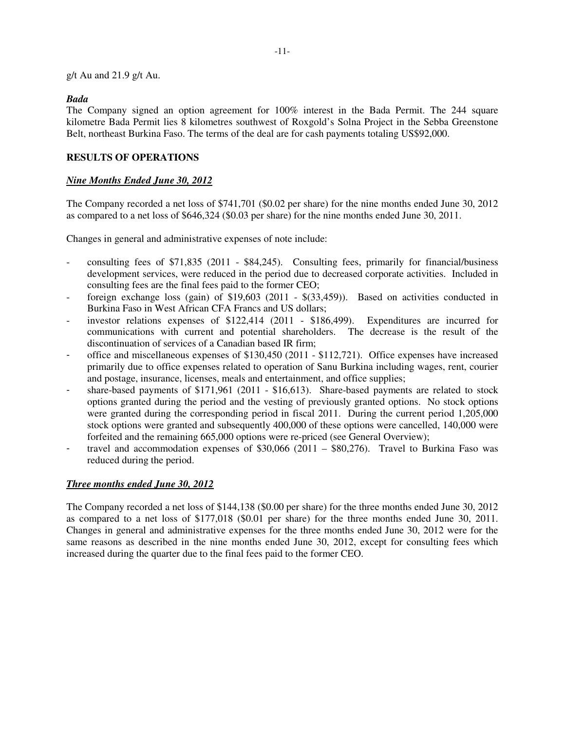g/t Au and 21.9 g/t Au.

#### *Bada*

The Company signed an option agreement for 100% interest in the Bada Permit. The 244 square kilometre Bada Permit lies 8 kilometres southwest of Roxgold's Solna Project in the Sebba Greenstone Belt, northeast Burkina Faso. The terms of the deal are for cash payments totaling US\$92,000.

# **RESULTS OF OPERATIONS**

#### *Nine Months Ended June 30, 2012*

The Company recorded a net loss of \$741,701 (\$0.02 per share) for the nine months ended June 30, 2012 as compared to a net loss of \$646,324 (\$0.03 per share) for the nine months ended June 30, 2011.

Changes in general and administrative expenses of note include:

- consulting fees of \$71,835 (2011 \$84,245). Consulting fees, primarily for financial/business development services, were reduced in the period due to decreased corporate activities. Included in consulting fees are the final fees paid to the former CEO;
- foreign exchange loss (gain) of  $$19,603$  (2011  $$(33,459)$ ). Based on activities conducted in Burkina Faso in West African CFA Francs and US dollars;
- investor relations expenses of  $$122,414$  (2011  $$186,499$ ). Expenditures are incurred for communications with current and potential shareholders. The decrease is the result of the discontinuation of services of a Canadian based IR firm;
- office and miscellaneous expenses of \$130,450 (2011 \$112,721). Office expenses have increased primarily due to office expenses related to operation of Sanu Burkina including wages, rent, courier and postage, insurance, licenses, meals and entertainment, and office supplies;
- share-based payments of \$171,961 (2011 \$16,613). Share-based payments are related to stock options granted during the period and the vesting of previously granted options. No stock options were granted during the corresponding period in fiscal 2011. During the current period 1,205,000 stock options were granted and subsequently 400,000 of these options were cancelled, 140,000 were forfeited and the remaining 665,000 options were re-priced (see General Overview);
- travel and accommodation expenses of  $$30,066$  (2011  $$80,276$ ). Travel to Burkina Faso was reduced during the period.

### *Three months ended June 30, 2012*

The Company recorded a net loss of \$144,138 (\$0.00 per share) for the three months ended June 30, 2012 as compared to a net loss of \$177,018 (\$0.01 per share) for the three months ended June 30, 2011. Changes in general and administrative expenses for the three months ended June 30, 2012 were for the same reasons as described in the nine months ended June 30, 2012, except for consulting fees which increased during the quarter due to the final fees paid to the former CEO.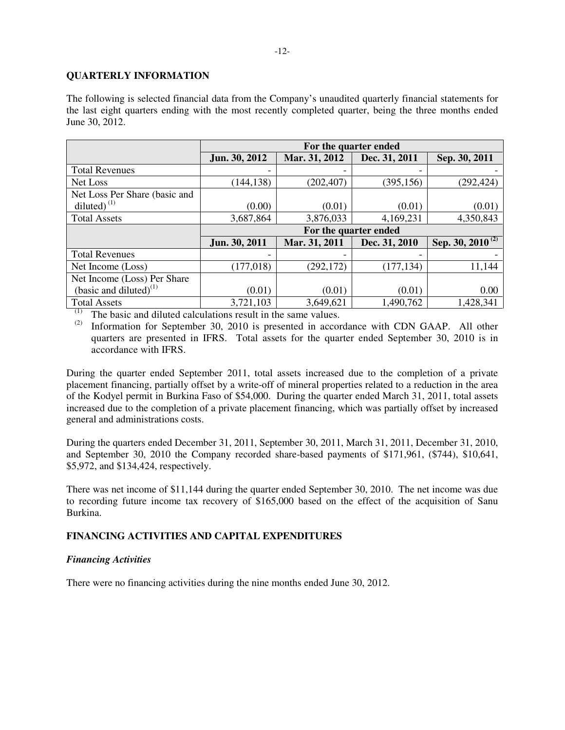## **QUARTERLY INFORMATION**

The following is selected financial data from the Company's unaudited quarterly financial statements for the last eight quarters ending with the most recently completed quarter, being the three months ended June 30, 2012.

|                               | For the quarter ended |               |               |                                  |  |  |
|-------------------------------|-----------------------|---------------|---------------|----------------------------------|--|--|
|                               | Jun. 30, 2012         | Mar. 31, 2012 | Dec. 31, 2011 | Sep. 30, 2011                    |  |  |
| <b>Total Revenues</b>         |                       |               |               |                                  |  |  |
| Net Loss                      | (144, 138)            | (202, 407)    | (395, 156)    | (292, 424)                       |  |  |
| Net Loss Per Share (basic and |                       |               |               |                                  |  |  |
| diluted) $(1)$                | (0.00)                | (0.01)        | (0.01)        | (0.01)                           |  |  |
| <b>Total Assets</b>           | 3,687,864             | 3,876,033     | 4,169,231     | 4,350,843                        |  |  |
|                               | For the quarter ended |               |               |                                  |  |  |
|                               | Jun. 30, 2011         | Mar. 31, 2011 | Dec. 31, 2010 | Sep. 30, $20\overline{10^{(2)}}$ |  |  |
| <b>Total Revenues</b>         |                       |               |               |                                  |  |  |
| Net Income (Loss)             | (177, 018)            | (292, 172)    | (177, 134)    | 11,144                           |  |  |
| Net Income (Loss) Per Share   |                       |               |               |                                  |  |  |
| (basic and diluted) $^{(1)}$  | (0.01)                | (0.01)        | (0.01)        | 0.00                             |  |  |
| <b>Total Assets</b><br>(1)    | 3,721,103             | 3,649,621     | 1,490,762     | 1,428,341                        |  |  |

 $\frac{(1)}{(2)}$  The basic and diluted calculations result in the same values.<br> $\frac{(2)}{(2)}$  Information for Sentember 30, 2010 is presented in accord

Information for September 30, 2010 is presented in accordance with CDN GAAP. All other quarters are presented in IFRS. Total assets for the quarter ended September 30, 2010 is in accordance with IFRS.

During the quarter ended September 2011, total assets increased due to the completion of a private placement financing, partially offset by a write-off of mineral properties related to a reduction in the area of the Kodyel permit in Burkina Faso of \$54,000. During the quarter ended March 31, 2011, total assets increased due to the completion of a private placement financing, which was partially offset by increased general and administrations costs.

During the quarters ended December 31, 2011, September 30, 2011, March 31, 2011, December 31, 2010, and September 30, 2010 the Company recorded share-based payments of \$171,961, (\$744), \$10,641, \$5,972, and \$134,424, respectively.

There was net income of \$11,144 during the quarter ended September 30, 2010. The net income was due to recording future income tax recovery of \$165,000 based on the effect of the acquisition of Sanu Burkina.

# **FINANCING ACTIVITIES AND CAPITAL EXPENDITURES**

### *Financing Activities*

There were no financing activities during the nine months ended June 30, 2012.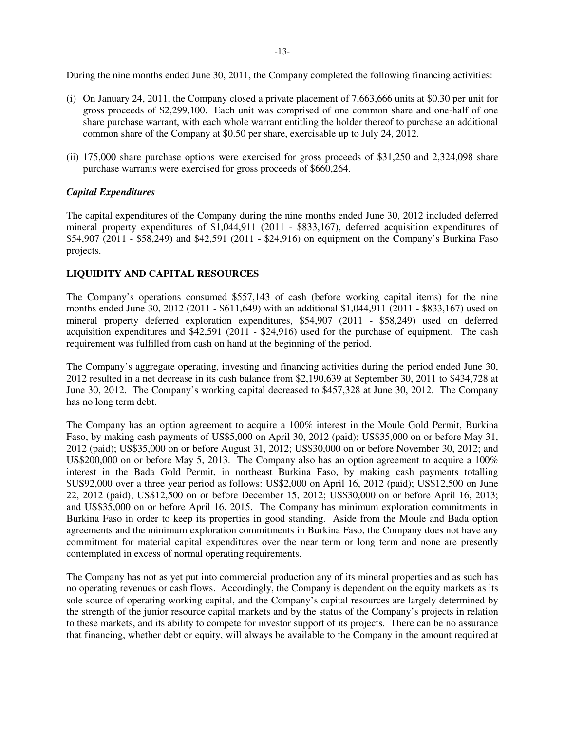During the nine months ended June 30, 2011, the Company completed the following financing activities:

- (i) On January 24, 2011, the Company closed a private placement of 7,663,666 units at \$0.30 per unit for gross proceeds of \$2,299,100. Each unit was comprised of one common share and one-half of one share purchase warrant, with each whole warrant entitling the holder thereof to purchase an additional common share of the Company at \$0.50 per share, exercisable up to July 24, 2012.
- (ii) 175,000 share purchase options were exercised for gross proceeds of \$31,250 and 2,324,098 share purchase warrants were exercised for gross proceeds of \$660,264.

## *Capital Expenditures*

The capital expenditures of the Company during the nine months ended June 30, 2012 included deferred mineral property expenditures of \$1,044,911 (2011 - \$833,167), deferred acquisition expenditures of \$54,907 (2011 - \$58,249) and \$42,591 (2011 - \$24,916) on equipment on the Company's Burkina Faso projects.

# **LIQUIDITY AND CAPITAL RESOURCES**

The Company's operations consumed \$557,143 of cash (before working capital items) for the nine months ended June 30, 2012 (2011 - \$611,649) with an additional \$1,044,911 (2011 - \$833,167) used on mineral property deferred exploration expenditures, \$54,907 (2011 - \$58,249) used on deferred acquisition expenditures and \$42,591 (2011 - \$24,916) used for the purchase of equipment. The cash requirement was fulfilled from cash on hand at the beginning of the period.

The Company's aggregate operating, investing and financing activities during the period ended June 30, 2012 resulted in a net decrease in its cash balance from \$2,190,639 at September 30, 2011 to \$434,728 at June 30, 2012. The Company's working capital decreased to \$457,328 at June 30, 2012. The Company has no long term debt.

The Company has an option agreement to acquire a 100% interest in the Moule Gold Permit, Burkina Faso, by making cash payments of US\$5,000 on April 30, 2012 (paid); US\$35,000 on or before May 31, 2012 (paid); US\$35,000 on or before August 31, 2012; US\$30,000 on or before November 30, 2012; and US\$200,000 on or before May 5, 2013. The Company also has an option agreement to acquire a 100% interest in the Bada Gold Permit, in northeast Burkina Faso, by making cash payments totalling \$US92,000 over a three year period as follows: US\$2,000 on April 16, 2012 (paid); US\$12,500 on June 22, 2012 (paid); US\$12,500 on or before December 15, 2012; US\$30,000 on or before April 16, 2013; and US\$35,000 on or before April 16, 2015. The Company has minimum exploration commitments in Burkina Faso in order to keep its properties in good standing. Aside from the Moule and Bada option agreements and the minimum exploration commitments in Burkina Faso, the Company does not have any commitment for material capital expenditures over the near term or long term and none are presently contemplated in excess of normal operating requirements.

The Company has not as yet put into commercial production any of its mineral properties and as such has no operating revenues or cash flows. Accordingly, the Company is dependent on the equity markets as its sole source of operating working capital, and the Company's capital resources are largely determined by the strength of the junior resource capital markets and by the status of the Company's projects in relation to these markets, and its ability to compete for investor support of its projects. There can be no assurance that financing, whether debt or equity, will always be available to the Company in the amount required at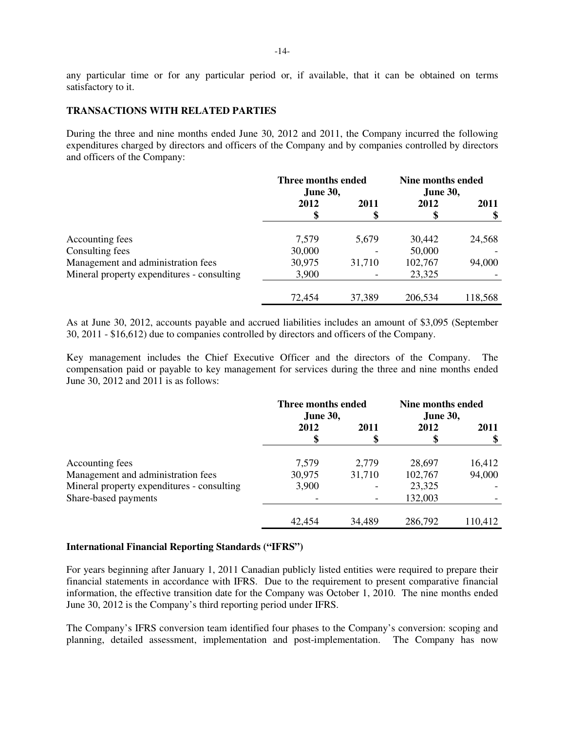any particular time or for any particular period or, if available, that it can be obtained on terms satisfactory to it.

### **TRANSACTIONS WITH RELATED PARTIES**

During the three and nine months ended June 30, 2012 and 2011, the Company incurred the following expenditures charged by directors and officers of the Company and by companies controlled by directors and officers of the Company:

|                                            | Three months ended<br><b>June 30,</b> |           | Nine months ended<br><b>June 30,</b> |            |
|--------------------------------------------|---------------------------------------|-----------|--------------------------------------|------------|
|                                            | 2012<br>\$                            | 2011<br>Φ | 2012<br>\$                           | 2011<br>\$ |
| Accounting fees                            | 7,579                                 | 5,679     | 30,442                               | 24,568     |
| Consulting fees                            | 30,000                                |           | 50,000                               |            |
| Management and administration fees         | 30,975                                | 31,710    | 102,767                              | 94,000     |
| Mineral property expenditures - consulting | 3,900                                 |           | 23,325                               |            |
|                                            | 72,454                                | 37,389    | 206,534                              | 118,568    |

As at June 30, 2012, accounts payable and accrued liabilities includes an amount of \$3,095 (September 30, 2011 - \$16,612) due to companies controlled by directors and officers of the Company.

Key management includes the Chief Executive Officer and the directors of the Company. The compensation paid or payable to key management for services during the three and nine months ended June 30, 2012 and 2011 is as follows:

|                                            | Three months ended<br><b>June 30,</b> |        | <b>Nine months ended</b><br><b>June 30,</b> |         |
|--------------------------------------------|---------------------------------------|--------|---------------------------------------------|---------|
|                                            | 2012                                  | 2011   | 2012                                        | 2011    |
|                                            | \$                                    |        |                                             |         |
| Accounting fees                            | 7,579                                 | 2,779  | 28,697                                      | 16,412  |
| Management and administration fees         | 30,975                                | 31,710 | 102,767                                     | 94,000  |
| Mineral property expenditures - consulting | 3,900                                 |        | 23,325                                      |         |
| Share-based payments                       |                                       |        | 132,003                                     |         |
|                                            | 42,454                                | 34,489 | 286,792                                     | 110,412 |

## **International Financial Reporting Standards ("IFRS")**

For years beginning after January 1, 2011 Canadian publicly listed entities were required to prepare their financial statements in accordance with IFRS. Due to the requirement to present comparative financial information, the effective transition date for the Company was October 1, 2010. The nine months ended June 30, 2012 is the Company's third reporting period under IFRS.

The Company's IFRS conversion team identified four phases to the Company's conversion: scoping and planning, detailed assessment, implementation and post-implementation. The Company has now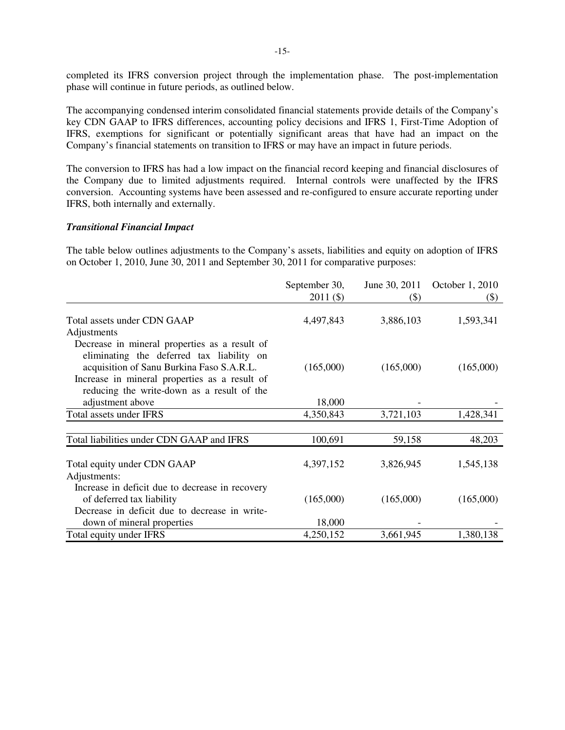completed its IFRS conversion project through the implementation phase. The post-implementation phase will continue in future periods, as outlined below.

The accompanying condensed interim consolidated financial statements provide details of the Company's key CDN GAAP to IFRS differences, accounting policy decisions and IFRS 1, First-Time Adoption of IFRS, exemptions for significant or potentially significant areas that have had an impact on the Company's financial statements on transition to IFRS or may have an impact in future periods.

The conversion to IFRS has had a low impact on the financial record keeping and financial disclosures of the Company due to limited adjustments required. Internal controls were unaffected by the IFRS conversion. Accounting systems have been assessed and re-configured to ensure accurate reporting under IFRS, both internally and externally.

#### *Transitional Financial Impact*

The table below outlines adjustments to the Company's assets, liabilities and equity on adoption of IFRS on October 1, 2010, June 30, 2011 and September 30, 2011 for comparative purposes:

|                                                                                                                                                                                                                                        | September 30,<br>$2011($ \$) | June 30, 2011<br>$(\$)$ | October 1, 2010<br>$\left( \text{\$}\right)$ |
|----------------------------------------------------------------------------------------------------------------------------------------------------------------------------------------------------------------------------------------|------------------------------|-------------------------|----------------------------------------------|
| Total assets under CDN GAAP<br>Adjustments                                                                                                                                                                                             | 4,497,843                    | 3,886,103               | 1,593,341                                    |
| Decrease in mineral properties as a result of<br>eliminating the deferred tax liability on<br>acquisition of Sanu Burkina Faso S.A.R.L.<br>Increase in mineral properties as a result of<br>reducing the write-down as a result of the | (165,000)                    | (165,000)               | (165,000)                                    |
| adjustment above                                                                                                                                                                                                                       | 18,000                       |                         |                                              |
| Total assets under IFRS                                                                                                                                                                                                                | 4,350,843                    | 3,721,103               | 1,428,341                                    |
| Total liabilities under CDN GAAP and IFRS                                                                                                                                                                                              | 100,691                      | 59,158                  | 48,203                                       |
| Total equity under CDN GAAP<br>Adjustments:                                                                                                                                                                                            | 4,397,152                    | 3,826,945               | 1,545,138                                    |
| Increase in deficit due to decrease in recovery<br>of deferred tax liability<br>Decrease in deficit due to decrease in write-                                                                                                          | (165,000)                    | (165,000)               | (165,000)                                    |
| down of mineral properties                                                                                                                                                                                                             | 18,000                       |                         |                                              |
| Total equity under IFRS                                                                                                                                                                                                                | 4,250,152                    | 3,661,945               | 1,380,138                                    |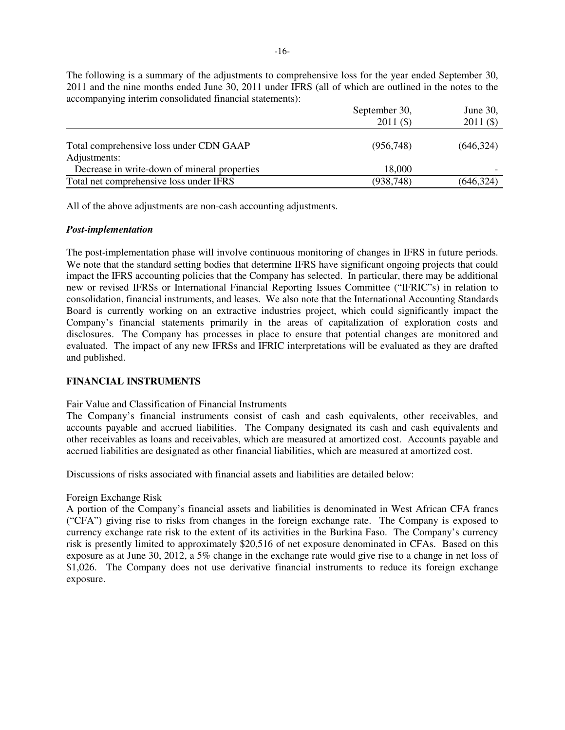|                                                         | September 30,<br>$2011($ \$) | June 30,<br>$2011($ \$) |
|---------------------------------------------------------|------------------------------|-------------------------|
| Total comprehensive loss under CDN GAAP<br>Adjustments: | (956.748)                    | (646, 324)              |
| Decrease in write-down of mineral properties            | 18,000                       |                         |
| Total net comprehensive loss under IFRS                 | (938, 748)                   | (646, 324)              |

The following is a summary of the adjustments to comprehensive loss for the year ended September 30, 2011 and the nine months ended June 30, 2011 under IFRS (all of which are outlined in the notes to the accompanying interim consolidated financial statements):

All of the above adjustments are non-cash accounting adjustments.

#### *Post-implementation*

The post-implementation phase will involve continuous monitoring of changes in IFRS in future periods. We note that the standard setting bodies that determine IFRS have significant ongoing projects that could impact the IFRS accounting policies that the Company has selected. In particular, there may be additional new or revised IFRSs or International Financial Reporting Issues Committee ("IFRIC"s) in relation to consolidation, financial instruments, and leases. We also note that the International Accounting Standards Board is currently working on an extractive industries project, which could significantly impact the Company's financial statements primarily in the areas of capitalization of exploration costs and disclosures. The Company has processes in place to ensure that potential changes are monitored and evaluated. The impact of any new IFRSs and IFRIC interpretations will be evaluated as they are drafted and published.

### **FINANCIAL INSTRUMENTS**

### Fair Value and Classification of Financial Instruments

The Company's financial instruments consist of cash and cash equivalents, other receivables, and accounts payable and accrued liabilities. The Company designated its cash and cash equivalents and other receivables as loans and receivables, which are measured at amortized cost. Accounts payable and accrued liabilities are designated as other financial liabilities, which are measured at amortized cost.

Discussions of risks associated with financial assets and liabilities are detailed below:

### Foreign Exchange Risk

A portion of the Company's financial assets and liabilities is denominated in West African CFA francs ("CFA") giving rise to risks from changes in the foreign exchange rate. The Company is exposed to currency exchange rate risk to the extent of its activities in the Burkina Faso. The Company's currency risk is presently limited to approximately \$20,516 of net exposure denominated in CFAs. Based on this exposure as at June 30, 2012, a 5% change in the exchange rate would give rise to a change in net loss of \$1,026. The Company does not use derivative financial instruments to reduce its foreign exchange exposure.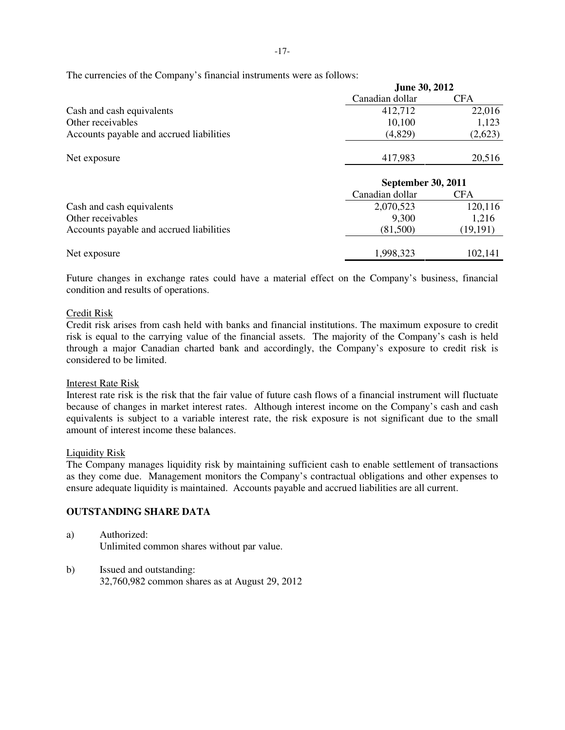The currencies of the Company's financial instruments were as follows:

|                                          | <b>June 30, 2012</b> |         |  |
|------------------------------------------|----------------------|---------|--|
|                                          | Canadian dollar      | CFA     |  |
| Cash and cash equivalents                | 412,712              | 22,016  |  |
| Other receivables                        | 10.100               | 1.123   |  |
| Accounts payable and accrued liabilities | (4,829)              | (2,623) |  |
|                                          |                      |         |  |
| Net exposure                             | 417,983              | 20,516  |  |

|                                          | <b>September 30, 2011</b> |           |  |
|------------------------------------------|---------------------------|-----------|--|
|                                          | Canadian dollar           | CFA       |  |
| Cash and cash equivalents                | 2,070,523                 | 120,116   |  |
| Other receivables                        | 9,300                     | 1,216     |  |
| Accounts payable and accrued liabilities | (81,500)                  | (19, 191) |  |
| Net exposure                             | 1,998,323                 | 102,141   |  |

Future changes in exchange rates could have a material effect on the Company's business, financial condition and results of operations.

## Credit Risk

Credit risk arises from cash held with banks and financial institutions. The maximum exposure to credit risk is equal to the carrying value of the financial assets. The majority of the Company's cash is held through a major Canadian charted bank and accordingly, the Company's exposure to credit risk is considered to be limited.

### Interest Rate Risk

Interest rate risk is the risk that the fair value of future cash flows of a financial instrument will fluctuate because of changes in market interest rates. Although interest income on the Company's cash and cash equivalents is subject to a variable interest rate, the risk exposure is not significant due to the small amount of interest income these balances.

### Liquidity Risk

The Company manages liquidity risk by maintaining sufficient cash to enable settlement of transactions as they come due. Management monitors the Company's contractual obligations and other expenses to ensure adequate liquidity is maintained. Accounts payable and accrued liabilities are all current.

# **OUTSTANDING SHARE DATA**

- a) Authorized: Unlimited common shares without par value.
- b) Issued and outstanding: 32,760,982 common shares as at August 29, 2012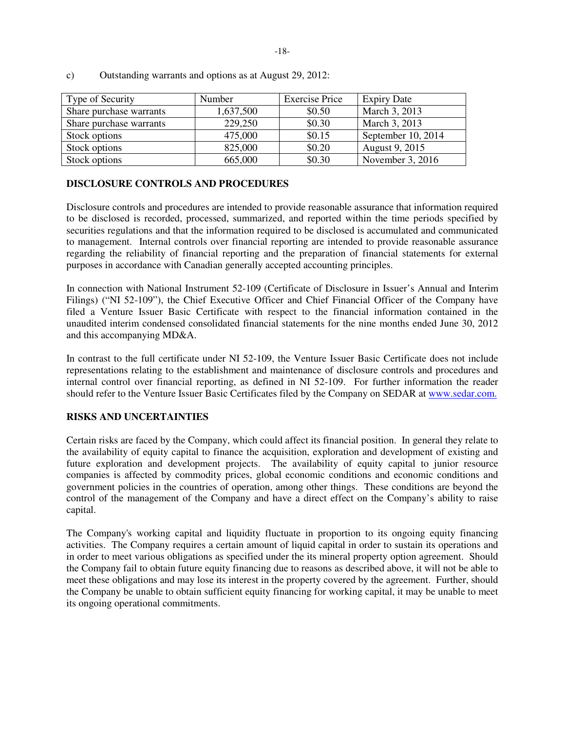| Type of Security        | Number    | <b>Exercise Price</b> | <b>Expiry Date</b> |
|-------------------------|-----------|-----------------------|--------------------|
| Share purchase warrants | 1,637,500 | \$0.50                | March 3, 2013      |
| Share purchase warrants | 229,250   | \$0.30                | March 3, 2013      |
| Stock options           | 475,000   | \$0.15                | September 10, 2014 |
| Stock options           | 825,000   | \$0.20                | August 9, 2015     |
| Stock options           | 665,000   | \$0.30                | November 3, 2016   |

c) Outstanding warrants and options as at August 29, 2012:

## **DISCLOSURE CONTROLS AND PROCEDURES**

Disclosure controls and procedures are intended to provide reasonable assurance that information required to be disclosed is recorded, processed, summarized, and reported within the time periods specified by securities regulations and that the information required to be disclosed is accumulated and communicated to management. Internal controls over financial reporting are intended to provide reasonable assurance regarding the reliability of financial reporting and the preparation of financial statements for external purposes in accordance with Canadian generally accepted accounting principles.

In connection with National Instrument 52-109 (Certificate of Disclosure in Issuer's Annual and Interim Filings) ("NI 52-109"), the Chief Executive Officer and Chief Financial Officer of the Company have filed a Venture Issuer Basic Certificate with respect to the financial information contained in the unaudited interim condensed consolidated financial statements for the nine months ended June 30, 2012 and this accompanying MD&A.

In contrast to the full certificate under NI 52-109, the Venture Issuer Basic Certificate does not include representations relating to the establishment and maintenance of disclosure controls and procedures and internal control over financial reporting, as defined in NI 52-109. For further information the reader should refer to the Venture Issuer Basic Certificates filed by the Company on SEDAR at www.sedar.com.

# **RISKS AND UNCERTAINTIES**

Certain risks are faced by the Company, which could affect its financial position. In general they relate to the availability of equity capital to finance the acquisition, exploration and development of existing and future exploration and development projects. The availability of equity capital to junior resource companies is affected by commodity prices, global economic conditions and economic conditions and government policies in the countries of operation, among other things. These conditions are beyond the control of the management of the Company and have a direct effect on the Company's ability to raise capital.

The Company's working capital and liquidity fluctuate in proportion to its ongoing equity financing activities. The Company requires a certain amount of liquid capital in order to sustain its operations and in order to meet various obligations as specified under the its mineral property option agreement. Should the Company fail to obtain future equity financing due to reasons as described above, it will not be able to meet these obligations and may lose its interest in the property covered by the agreement. Further, should the Company be unable to obtain sufficient equity financing for working capital, it may be unable to meet its ongoing operational commitments.